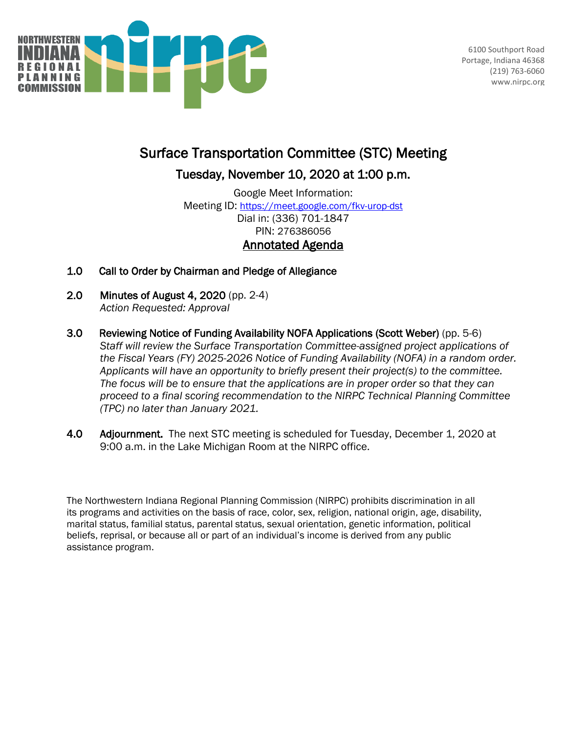

6100 Southport Road Portage, Indiana 46368 (219) 763-6060 www.nirpc.org

## Surface Transportation Committee (STC) Meeting

Tuesday, November 10, 2020 at 1:00 p.m.

Google Meet Information: Meeting ID:<https://meet.google.com/fkv-urop-dst> Dial in: (336) 701-1847 PIN: 276386056 Annotated Agenda

- 1.0 Call to Order by Chairman and Pledge of Allegiance
- 2.0 Minutes of August 4, 2020 (pp. 2-4) *Action Requested: Approval*
- 3.0 Reviewing Notice of Funding Availability NOFA Applications (Scott Weber) (pp. 5-6) *Staff will review the Surface Transportation Committee-assigned project applications of the Fiscal Years (FY) 2025-2026 Notice of Funding Availability (NOFA) in a random order. Applicants will have an opportunity to briefly present their project(s) to the committee. The focus will be to ensure that the applications are in proper order so that they can proceed to a final scoring recommendation to the NIRPC Technical Planning Committee (TPC) no later than January 2021.*
- 4.0 Adjournment. The next STC meeting is scheduled for Tuesday, December 1, 2020 at 9:00 a.m. in the Lake Michigan Room at the NIRPC office.

The Northwestern Indiana Regional Planning Commission (NIRPC) prohibits discrimination in all its programs and activities on the basis of race, color, sex, religion, national origin, age, disability, marital status, familial status, parental status, sexual orientation, genetic information, political beliefs, reprisal, or because all or part of an individual's income is derived from any public assistance program.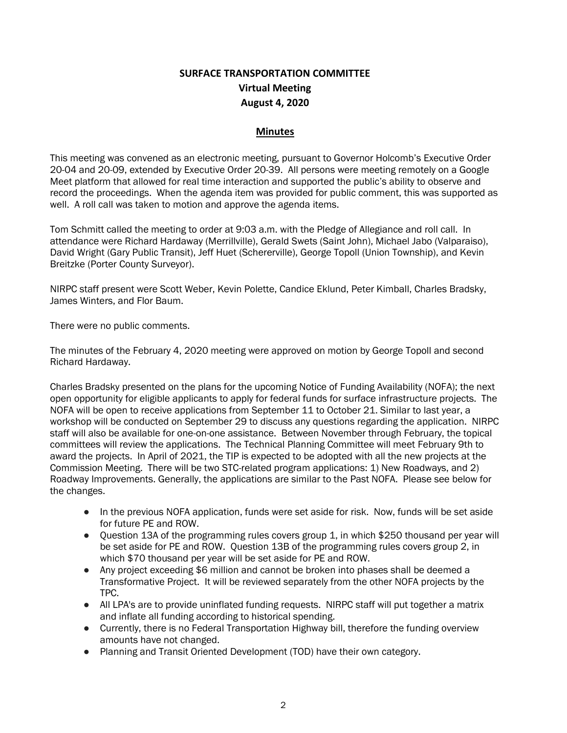## **SURFACE TRANSPORTATION COMMITTEE Virtual Meeting August 4, 2020**

## **Minutes**

This meeting was convened as an electronic meeting, pursuant to Governor Holcomb's Executive Order 20-04 and 20-09, extended by Executive Order 20-39. All persons were meeting remotely on a Google Meet platform that allowed for real time interaction and supported the public's ability to observe and record the proceedings. When the agenda item was provided for public comment, this was supported as well. A roll call was taken to motion and approve the agenda items.

Tom Schmitt called the meeting to order at 9:03 a.m. with the Pledge of Allegiance and roll call. In attendance were Richard Hardaway (Merrillville), Gerald Swets (Saint John), Michael Jabo (Valparaiso), David Wright (Gary Public Transit), Jeff Huet (Schererville), George Topoll (Union Township), and Kevin Breitzke (Porter County Surveyor).

NIRPC staff present were Scott Weber, Kevin Polette, Candice Eklund, Peter Kimball, Charles Bradsky, James Winters, and Flor Baum.

There were no public comments.

The minutes of the February 4, 2020 meeting were approved on motion by George Topoll and second Richard Hardaway.

Charles Bradsky presented on the plans for the upcoming Notice of Funding Availability (NOFA); the next open opportunity for eligible applicants to apply for federal funds for surface infrastructure projects. The NOFA will be open to receive applications from September 11 to October 21. Similar to last year, a workshop will be conducted on September 29 to discuss any questions regarding the application. NIRPC staff will also be available for one-on-one assistance. Between November through February, the topical committees will review the applications. The Technical Planning Committee will meet February 9th to award the projects. In April of 2021, the TIP is expected to be adopted with all the new projects at the Commission Meeting. There will be two STC-related program applications: 1) New Roadways, and 2) Roadway Improvements. Generally, the applications are similar to the Past NOFA. Please see below for the changes.

- In the previous NOFA application, funds were set aside for risk. Now, funds will be set aside for future PE and ROW.
- Question 13A of the programming rules covers group 1, in which \$250 thousand per year will be set aside for PE and ROW. Question 13B of the programming rules covers group 2, in which \$70 thousand per year will be set aside for PE and ROW.
- Any project exceeding \$6 million and cannot be broken into phases shall be deemed a Transformative Project. It will be reviewed separately from the other NOFA projects by the TPC.
- All LPA's are to provide uninflated funding requests. NIRPC staff will put together a matrix and inflate all funding according to historical spending.
- Currently, there is no Federal Transportation Highway bill, therefore the funding overview amounts have not changed.
- Planning and Transit Oriented Development (TOD) have their own category.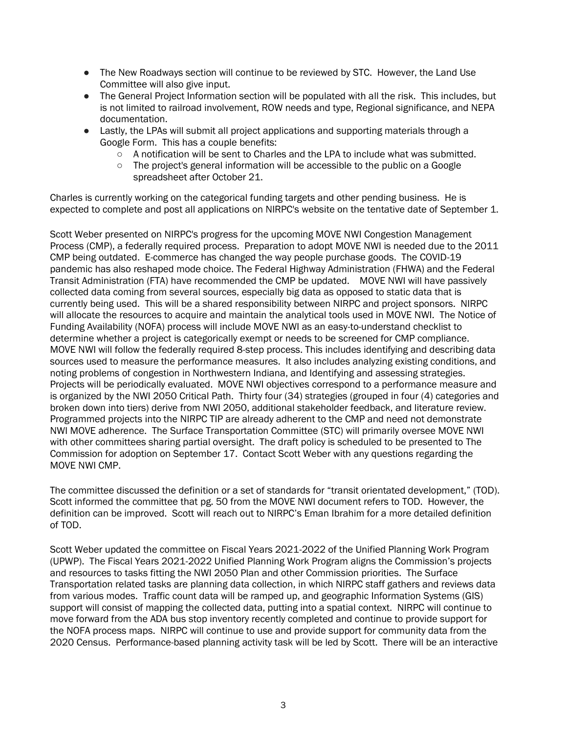- The New Roadways section will continue to be reviewed by STC. However, the Land Use Committee will also give input.
- The General Project Information section will be populated with all the risk. This includes, but is not limited to railroad involvement, ROW needs and type, Regional significance, and NEPA documentation.
- Lastly, the LPAs will submit all project applications and supporting materials through a Google Form. This has a couple benefits:
	- $\circ$  A notification will be sent to Charles and the LPA to include what was submitted.
	- The project's general information will be accessible to the public on a Google spreadsheet after October 21.

Charles is currently working on the categorical funding targets and other pending business. He is expected to complete and post all applications on NIRPC's website on the tentative date of September 1.

Scott Weber presented on NIRPC's progress for the upcoming MOVE NWI Congestion Management Process (CMP), a federally required process. Preparation to adopt MOVE NWI is needed due to the 2011 CMP being outdated. E-commerce has changed the way people purchase goods. The COVID-19 pandemic has also reshaped mode choice. The Federal Highway Administration (FHWA) and the Federal Transit Administration (FTA) have recommended the CMP be updated. MOVE NWI will have passively collected data coming from several sources, especially big data as opposed to static data that is currently being used. This will be a shared responsibility between NIRPC and project sponsors. NIRPC will allocate the resources to acquire and maintain the analytical tools used in MOVE NWI. The Notice of Funding Availability (NOFA) process will include MOVE NWI as an easy-to-understand checklist to determine whether a project is categorically exempt or needs to be screened for CMP compliance. MOVE NWI will follow the federally required 8-step process. This includes identifying and describing data sources used to measure the performance measures. It also includes analyzing existing conditions, and noting problems of congestion in Northwestern Indiana, and Identifying and assessing strategies. Projects will be periodically evaluated. MOVE NWI objectives correspond to a performance measure and is organized by the NWI 2050 Critical Path. Thirty four (34) strategies (grouped in four (4) categories and broken down into tiers) derive from NWI 2050, additional stakeholder feedback, and literature review. Programmed projects into the NIRPC TIP are already adherent to the CMP and need not demonstrate NWI MOVE adherence. The Surface Transportation Committee (STC) will primarily oversee MOVE NWI with other committees sharing partial oversight. The draft policy is scheduled to be presented to The Commission for adoption on September 17. Contact Scott Weber with any questions regarding the MOVE NWI CMP.

The committee discussed the definition or a set of standards for "transit orientated development," (TOD). Scott informed the committee that pg. 50 from the MOVE NWI document refers to TOD. However, the definition can be improved. Scott will reach out to NIRPC's Eman Ibrahim for a more detailed definition of TOD.

Scott Weber updated the committee on Fiscal Years 2021-2022 of the Unified Planning Work Program (UPWP). The Fiscal Years 2021-2022 Unified Planning Work Program aligns the Commission's projects and resources to tasks fitting the NWI 2050 Plan and other Commission priorities. The Surface Transportation related tasks are planning data collection, in which NIRPC staff gathers and reviews data from various modes. Traffic count data will be ramped up, and geographic Information Systems (GIS) support will consist of mapping the collected data, putting into a spatial context. NIRPC will continue to move forward from the ADA bus stop inventory recently completed and continue to provide support for the NOFA process maps. NIRPC will continue to use and provide support for community data from the 2020 Census. Performance-based planning activity task will be led by Scott. There will be an interactive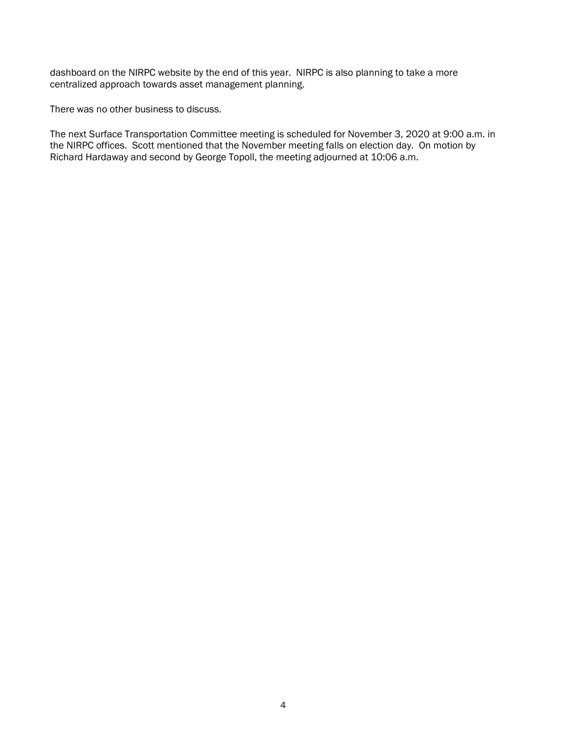dashboard on the NIRPC website by the end of this year. NIRPC is also planning to take a more centralized approach towards asset management planning.

There was no other business to discuss.

The next Surface Transportation Committee meeting is scheduled for November 3, 2020 at 9:00 a.m. in the NIRPC offices. Scott mentioned that the November meeting falls on election day. On motion by Richard Hardaway and second by George Topoll, the meeting adjourned at 10:06 a.m.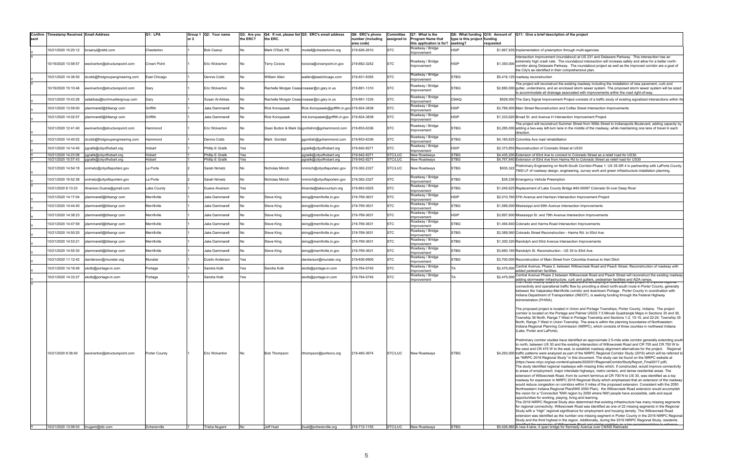| Confirm | Timestamp Received Email Address           |                                                      | Q1: LPA          | Group 1 | Q2: Your name                        | Q3: Are you |                       | Q4: If not, please list Q5: ERC's email address      | Q6: ERC's phone                 | Committee          | Q7: What is the                                      |                                          |             | Q8: What funding Q10: Amount of Q11: Give a brief description of the project                                                                                                                                                         |
|---------|--------------------------------------------|------------------------------------------------------|------------------|---------|--------------------------------------|-------------|-----------------------|------------------------------------------------------|---------------------------------|--------------------|------------------------------------------------------|------------------------------------------|-------------|--------------------------------------------------------------------------------------------------------------------------------------------------------------------------------------------------------------------------------------|
| sent    |                                            |                                                      |                  | or 2    |                                      | the ERC?    | the ERC.              |                                                      | number (including<br>area code) | assigned to        | <b>Program Name that</b><br>this application is for? | type is this project funding<br>seeking? | requested   |                                                                                                                                                                                                                                      |
|         | 0/21/2020 15:25:12                         | bcsanyi@reltd.com                                    | Chesterton       |         | <b>Bob Csanyi</b>                    | No          | Mark O'Dell, PE       | nodell@chestertonin.org                              | 219-926-2610                    | <b>STC</b>         | Roadway / Bridge                                     | <b>HSIP</b>                              |             | \$1,867,935 Implementation of preemption through multi-agencies                                                                                                                                                                      |
|         |                                            |                                                      |                  |         |                                      |             |                       |                                                      |                                 |                    | Improvement                                          |                                          |             | Intersection improvement (roundabout) at US 231 and Delaware Parkway. This intersection has an                                                                                                                                       |
|         | 10/19/2020 13:58:57                        | ewolverton@structurepoint.com                        | Crown Point      |         | Eric Wolverton                       | No          | Геггу Ciciora         | tciciora@crownpoint.in.gov                           | 219-662-3242                    | <b>STC</b>         | Roadway / Bridge                                     | <b>HSIP</b>                              | \$1,350,000 | extremely high crash rate. The roundabout intersection will increase safety and allow for a better north-                                                                                                                            |
|         |                                            |                                                      |                  |         |                                      |             |                       |                                                      |                                 |                    | Improvement                                          |                                          |             | corridor along Delaware Parkway. The roundabout project as well as the improved corridor are a goal of<br>the City's as identified in their comprehensive plan.                                                                      |
|         | 0/21/2020 14:36:50                         | dcobb@firstgroupengineering.com                      | East Chicago     |         | Dennis Cobb                          | No          | William Allen         | wallen@eastchicago.com                               | 219-931-8355                    | <b>STC</b>         | Roadway / Bridge<br>Improvement                      | STBG                                     |             | \$5,416,125 roadway reconstruction                                                                                                                                                                                                   |
|         |                                            |                                                      |                  |         |                                      |             |                       |                                                      |                                 |                    | Roadway / Bridge                                     |                                          |             | The project will reconstruct the existing roadway including the installation of new pavement, curb and                                                                                                                               |
|         | 10/19/2020 15:10:46                        | ewolverton@structurepoint.com                        | Gary             |         | Eric Wolverton                       | No.         |                       | Rachelle Morgan Ceastrceasar@ci.gary.in.us           | 219-881-1310                    | <b>STC</b>         | Improvement                                          | <b>STBG</b>                              |             | \$2,880,000 gutter, underdrains, and an enclosed storm sewer system. The proposed storm sewer system will be sized<br>o accommodate all drainage associated with improvements within the road right-of-way.                          |
|         | 0/21/2020 15:43:26                         | salabbas@lochmuellergroup.com                        | Gary             |         | Susan Al-Abbas                       | No          |                       | Rachelle Morgan Ceastrceasar@ci.gary.in.us           | 219-881-1235                    | <b>STC</b>         | Roadway / Bridge<br>mprovement                       | CMAQ                                     |             | \$928,000 The Gary Signal Improvement Project consists of a traffic study of existing signalized intersections within the                                                                                                            |
|         | 10/21/2020 13:59:00                        | dammarell@bfsengr.com                                | Griffith         |         | Jake Dammarell                       | No          | <b>Rick Konopasek</b> | Rick.Konopasek@griffith.in.gov 219-924-3838          |                                 | <b>STC</b>         | Roadway / Bridge                                     | <b>HSIP</b>                              |             | \$3,766,000 Main Street Reconstruction and Colfax Street Intersection Improvements                                                                                                                                                   |
|         |                                            |                                                      | Griffith         |         |                                      |             |                       |                                                      |                                 | <b>STC</b>         | mprovement<br>Roadway / Bridge                       | <b>HSIP</b>                              |             | \$1,333,620 Broad St. and Avenue H Intersection Improvement Project                                                                                                                                                                  |
|         | 10/21/2020 14:02:57                        | dammarell@bfsengr.com                                |                  |         | Jake Dammarell                       |             | <b>Rick Konopasek</b> | rick.konopasek@griffith.in.gov 219-924-3838          |                                 |                    | Improvement                                          |                                          |             | he project will reconstruct Summer Street from Willis Street to Indianapolis Boulevard, adding capacity by                                                                                                                           |
|         | 10/21/2020 12:41:40                        | ewolverton@structurepoint.com                        | Hammond          |         | Eric Wolverton                       | No          |                       | Dean Button & Mark Gogordishm@gohammond.com          | 219-853-6336                    | <b>STC</b>         | Roadway / Bridge<br>Improvement                      | <b>STBG</b>                              |             | \$3,285,000 adding a two-way left-turn lane in the middle of the roadway, while maintaining one lane of travel in each                                                                                                               |
|         |                                            |                                                      |                  |         |                                      |             |                       |                                                      |                                 |                    | Roadway / Bridge                                     |                                          |             | direction.                                                                                                                                                                                                                           |
|         | 10/21/2020 14:45:02                        | dcobb@firstgroupengineering.com                      | Hammond          |         | Dennis Cobb                          | No          | Mark Gordish          | ggordish@gohammond.com                               | 219-853-6336                    | <b>STC</b>         | mprovement                                           | <b>STBG</b>                              |             | \$4,160,625 Columbia Ave road rehabilitation                                                                                                                                                                                         |
|         | 10/21/2020 14:14:45                        | pgralik@cityofhobart.org                             | Hobart           |         | Phillip E Gralik                     | Yes         |                       | pgralik@cityofhobart.org                             | 219-942-8271                    | <b>STC</b>         | Roadway / Bridge<br>mprovement                       | <b>HSIP</b>                              |             | \$2,373,855 Reconstruction of Colorado Street at US30                                                                                                                                                                                |
|         | 10/21/2020 14:23:08<br>10/21/2020 15:57:43 | pgralik@cityofhobart.org<br>pgralik@cityofhobart.org | Hobart<br>Hobart |         | Phillip E Gralik<br>Phillip E Gralik | Yes<br>Yes  |                       | pgralik@cityofhobart.org<br>pgralik@cityofhobart.org | 219-942-8271<br>219-942-8271    | STC/LUC<br>STC/LUC | New Roadways<br>New Roadways                         | <b>STBG</b><br>STBG                      |             | \$4,435,200 Extension of 83rd Ave to connect to Colorado Street as a relief road for US30<br>\$4,767,840 Extension of 83rd Ave from Harms Rd to Colorado Street as relief road for US30                                              |
|         |                                            |                                                      |                  |         |                                      |             |                       |                                                      |                                 |                    |                                                      |                                          |             | Preliminary Engineering on North-South Corridor-Phase 1: US 35-SR 4 in partnership with LaPorte County.                                                                                                                              |
|         | 10/21/2020 14:54:18                        | snimetz@cityoflaportein.gov                          | La Porte         |         | Sarah Nimetz                         | No          | Nicholas Minich       | nminich@cityoflaportein.gov                          | 219-362-2327                    | STC/LUC            | New Roadways                                         | <b>STBG</b>                              | \$935,322   | 7900 LF of roadway design, engineering, survey work and green infrastructure installation planning.                                                                                                                                  |
|         | 0/21/2020 16:52:38                         | nimetz@cityoflaportein.gov                           | a Porte          |         | Sarah Nimetz                         | No          | Nicholas Minich       | nminich@cityoflaportein.gov                          | 219-362-2327                    | <b>STC</b>         | Roadway / Bridge                                     | <b>STBG</b>                              |             | \$38,238 Emergency Vehicle Preemption                                                                                                                                                                                                |
|         | 0/21/2020 8:13:23                          | Alverson.Duane@gmail.com                             | ake County       |         | Duane Alverson                       | Yes         |                       | Alverda@lakecountyin.org                             | 219-663-0525                    | <b>STC</b>         | Improvement<br>Roadway / Bridge                      | <b>STBG</b>                              |             | \$1,045,625 Replacement of Lake County Bridge #45-00097 Colorado St over Deep River                                                                                                                                                  |
|         |                                            |                                                      |                  |         |                                      |             |                       |                                                      |                                 |                    | Improvement<br>Roadway / Bridge                      |                                          |             |                                                                                                                                                                                                                                      |
|         | 0/21/2020 14:17:04                         | jdammarell@bfsengr.com                               | Merrillville     |         | Jake Dammarell                       | No          | <b>Steve King</b>     | sking@merrillville.in.gov                            | 219-769-3631                    | <b>STC</b>         | Improvement                                          | HSIP                                     |             | \$2,010,760 57th Avenue and Harrison Intersection Improvement Project                                                                                                                                                                |
|         | 0/21/2020 14:44:40                         | dammarell@bfsengr.com                                | Merrillville     |         | Jake Dammarell                       | No          | <b>Steve King</b>     | sking@merrillville.in.gov                            | 219-769-3631                    | <b>STC</b>         | Roadway / Bridge<br>Improvement                      | <b>STBG</b>                              |             | \$1,588,000 Mississippi and 69th Avenue Intersection Improvements                                                                                                                                                                    |
|         | 0/21/2020 14:38:23                         | dammarell@bfsengr.com                                | Merrillville     |         | Jake Dammarell                       | No          | <b>Steve King</b>     | sking@merrillville.in.gov                            | 219-769-3631                    | <b>STC</b>         | Roadway / Bridge<br>Improvement                      | <b>HSIP</b>                              |             | \$3,897,600 Mississippi St. and 79th Avenue Intersection Improvements                                                                                                                                                                |
|         | 0/21/2020 14:47:59                         | jdammarell@bfsengr.com                               | Merrillville     |         | Jake Dammarell                       | No          | <b>Steve King</b>     | sking@merrillville.in.gov                            | 219-769-3631                    | <b>STC</b>         | Roadway / Bridge                                     | <b>STBG</b>                              |             | \$1,494,840 Colorado and Harms Road Intersection Improvements                                                                                                                                                                        |
|         |                                            |                                                      |                  |         |                                      |             |                       |                                                      |                                 | <b>STC</b>         | mprovement<br>Roadway / Bridge                       | <b>STBG</b>                              |             |                                                                                                                                                                                                                                      |
|         | 10/21/2020 14:50:20                        | jdammarell@bfsengr.com                               | Merrillville     |         | Jake Dammarell                       | No          | <b>Steve King</b>     | sking@merrillville.in.gov                            | 219-769-3631                    |                    | Improvement<br>Roadway / Bridge                      |                                          |             | \$3,389,560 Colorado Street Reconstruction - Harms Rd. to 93rd Ave.                                                                                                                                                                  |
|         | 10/21/2020 14:53:21                        | dammarell@bfsengr.com                                | Merrillville     |         | Jake Dammarell                       | No          | <b>Steve King</b>     | sking@merrillville.in.gov                            | 219-769-3631                    | <b>STC</b>         | Improvement                                          | <b>STBG</b>                              |             | \$1,300,320 Randolph and 93rd Avenue Intersection Improvements                                                                                                                                                                       |
|         | 0/21/2020 14:55:30                         | dammarell@bfsengr.com                                | Merrillville     |         | Jake Dammarell                       | No          | Steve King            | sking@merrillville.in.gov                            | 219-769-3631                    | <b>STC</b>         | Roadway / Bridge<br>mprovement                       | <b>STBG</b>                              |             | \$3,660,160 Randolph St. Reconstruction - US 30 to 93rd Ave.                                                                                                                                                                         |
|         | 10/21/2020 11:12:42                        | danderson@munster.org                                | Munster          |         | Dustin Anderson                      | Yes         |                       | danderson@munster.org                                | 219-836-6905                    | <b>STC</b>         | Roadway / Bridge<br>mprovement                       | <b>STBG</b>                              |             | \$3,700,000 Reconstruction of Main Street from Columbia Avenue to Hart Ditch                                                                                                                                                         |
|         | 0/21/2020 14:18:48                         | skolb@portage-in.com                                 | Portage          |         | Sandra Kolb                          | Yes         | Sandra Kolb           | skolb@portage-in.com                                 | 219-764-5745                    | <b>STC</b>         | Roadway / Bridge                                     |                                          | \$2,475,000 | Central Avenue, Phase 2, between Willowcreek Road and Peach Street. Reconstruction of roadway with                                                                                                                                   |
|         |                                            |                                                      |                  |         |                                      |             |                       |                                                      |                                 |                    | mprovement<br>Roadway / Bridge                       |                                          |             | added pedestrian facilities.<br>entral Avenue Phase 2 between Willowcreek Road and Peach Street will reconstruct the existing roadway                                                                                                |
|         | 10/21/2020 14:33:27                        | skolb@portage-in.com                                 | Portage          |         | Sandra Kolb                          | Yes         |                       | skolb@portage-in.com                                 | 219-764-5745                    | <b>STC</b>         | mprovement                                           |                                          | \$2,475,00  | dding stormwater infrastructure, curb and gutters, pedestrian facilities and ADA ramps                                                                                                                                               |
|         |                                            |                                                      |                  |         |                                      |             |                       |                                                      |                                 |                    |                                                      |                                          |             | connectivity and operational traffic flow by providing a direct north-south route in Porter County, generally                                                                                                                        |
|         |                                            |                                                      |                  |         |                                      |             |                       |                                                      |                                 |                    |                                                      |                                          |             | between the Valparaiso-Merrillville corridor and downtown Portage. Porter County in coordination with<br>Indiana Department of Transportation (INDOT), is seeking funding through the Federal Highway                                |
|         |                                            |                                                      |                  |         |                                      |             |                       |                                                      |                                 |                    |                                                      |                                          |             | Administration (FHWA).                                                                                                                                                                                                               |
|         |                                            |                                                      |                  |         |                                      |             |                       |                                                      |                                 |                    |                                                      |                                          |             | The proposed project is located in Union and Portage Townships, Porter County, Indiana. The project                                                                                                                                  |
|         |                                            |                                                      |                  |         |                                      |             |                       |                                                      |                                 |                    |                                                      |                                          |             | corridor is located on the Portage and Palmer USGS 7.5 Minute Quadrangle Maps in Sections 35 and 36,<br>Township 36 North, Range 7 West in Portage Township and Sections 1-2, 10-15, and 22-24, Township 35                          |
|         |                                            |                                                      |                  |         |                                      |             |                       |                                                      |                                 |                    |                                                      |                                          |             | North, Range 7 West in Union Township. The area is within the planning boundaries of Northwestern                                                                                                                                    |
|         |                                            |                                                      |                  |         |                                      |             |                       |                                                      |                                 |                    |                                                      |                                          |             | Indiana Regional Planning Commission (NIRPC), which consists of three counties in northwest Indiana<br>(Lake, Porter and LaPorte).                                                                                                   |
|         |                                            |                                                      |                  |         |                                      |             |                       |                                                      |                                 |                    |                                                      |                                          |             |                                                                                                                                                                                                                                      |
|         |                                            |                                                      |                  |         |                                      |             |                       |                                                      |                                 |                    |                                                      |                                          |             | Preliminary corridor studies have identified an approximate 2.5-mile wide corridor generally extending south<br>to north, between US 30 and the existing intersection of Willowcreek Road and CR 700 and CR 750 W to                 |
|         | 10/21/2020 9:38:40                         | ewolverton@structurepoint.com                        | Porter County    |         | Eric Wolverton                       | No          | <b>Bob Thompson</b>   | rthompson@porterco.org                               | 219-465-3674                    | STC/LUC            | New Roadways                                         | <b>STBG</b>                              |             | the west and CR 475 W to the east, to establish roadway alignment alternatives for the project. Regional<br>\$4,293,000 traffic patterns were analyzed as part of the NIRPC Regional Corridor Study (2016) which will be referred to |
|         |                                            |                                                      |                  |         |                                      |             |                       |                                                      |                                 |                    |                                                      |                                          |             | as "NIRPC 2016 Regional Study" in this document. The study can be found on the NIRPC website at                                                                                                                                      |
|         |                                            |                                                      |                  |         |                                      |             |                       |                                                      |                                 |                    |                                                      |                                          |             | (https://www.nirpc.org/wp-content/uploads/2020/01/RegionalCorridorStudyReport_Final2017.pdf).<br>The study identified regional roadways with missing links which, if constructed, would improve connectivity                         |
|         |                                            |                                                      |                  |         |                                      |             |                       |                                                      |                                 |                    |                                                      |                                          |             | to areas of employment, major interstate highways, metro centers, and dense residential areas. The                                                                                                                                   |
|         |                                            |                                                      |                  |         |                                      |             |                       |                                                      |                                 |                    |                                                      |                                          |             | extension of Willowcreek Road, from its current terminus at CR 700 N to US 30, was identified as a top<br>roadway for expansion in NIRPC 2016 Regional Study which emphasized that an extension of the roadway                       |
|         |                                            |                                                      |                  |         |                                      |             |                       |                                                      |                                 |                    |                                                      |                                          |             | would reduce congestion on corridors within 5 miles of the proposed extension. Consistent with the 2050                                                                                                                              |
|         |                                            |                                                      |                  |         |                                      |             |                       |                                                      |                                 |                    |                                                      |                                          |             | Northwestern Indiana Regional Plan(NWI 2050 Plan), the Willowcreek Road extension would accomplish<br>the vision for a "Connected "NWI region by 2050 where NWI people have accessible, safe and equal                               |
|         |                                            |                                                      |                  |         |                                      |             |                       |                                                      |                                 |                    |                                                      |                                          |             | opportunities for working, playing, living and learning.                                                                                                                                                                             |
|         |                                            |                                                      |                  |         |                                      |             |                       |                                                      |                                 |                    |                                                      |                                          |             | The 2016 NIRPC Regional Study also determined that existing infrastructure has many missing segments<br>for regional connectivity. Willowcreek Road was identified as one of 22 missing segments in the Regional                     |
|         |                                            |                                                      |                  |         |                                      |             |                       |                                                      |                                 |                    |                                                      |                                          |             | Study with a "High" regional significance for employment and housing density. The Willowcreek Road                                                                                                                                   |
|         |                                            |                                                      |                  |         |                                      |             |                       |                                                      |                                 |                    |                                                      |                                          |             | extension was identified as the number one missing segment in Porter County in the 2016 NIRPC Regional<br>Study and the third highest in the region. Additionally, during the 2016 NIRPC Regional Study, residents                   |
|         | 10/21/2020 13:08:03 tnugent@dlz.com        |                                                      | Schererville     |         | Trisha Nugent                        | No          | Jeff Huet             | jhuet@schererville.org                               | 219-712-1155                    |                    | STC/LUC New Roadways                                 | <b>STBG</b>                              |             | \$5,026,960 A new 4-lane, 4 span bridge for Kennedy Avenue over CN/NS Railroads                                                                                                                                                      |

## provement (roundabout) at US 231 and Delaware Parkway. This intersection has an crash rate. The roundabout intersection will increase safety and allow for a better north-Delaware Parkway. The roundabout project as well as the improved corridor are a goal of entified in their comprehensive plan. al Improvement Project consists of a traffic study of existing signalized intersections within th construction and Colfax Street Intersection Improvements l reconstruct Summer Street from Willis Street to Indianapolis Boulevard, adding capacity by<br>/ay left-turn lane in the middle of the roadway, while maintaining one lane of travel in each Brd Ave to connect to Colorado Street as a relief road for US30. 3rd Ave from Harms Rd to Colorado Street as relief road for US30 gineering on North-South Corridor-Phase 1: US 35-SR 4 in partnership with LaPorte County<br>dway design, engineering, survey work and green infrastructure installation planning. f Lake County Bridge #45-00097 Colorado St over Deep River e, Phase 2, between Willowcreek Road and Peach Street. Reconstruction of roadway with<br>ian facilities.<br>e Phase 2 between Willowcreek Road and Peach Street will reconstruct the existing roadwa d operational traffic flow by providing a direct north-south route in Porter County, generally between the Valparaiso-Merrillville corridor and downtown Portage. Porter County in coordination with Indiana Department of Transportation (INDOT), is seeking funding through the Federal Highway  $(FHWA)$ . project is located in Union and Portage Townships, Porter County, Indiana. The project corridor is located on the Portage and Palmer USGS 7.5 Minute Quadrangle Maps in Sections 35 and 36, lorth, Range 7 West in Portage Township and Sections 1-2, 10-15, and 22-24, Township 35  $\,$ West in Union Township. The area is within the planning boundaries of Northwestern ial Planning Commission (NIRPC), which consists of three counties in northwest Indiana nd LaPorte). rridor studies have identified an approximate 2.5-mile wide corridor generally extending south en US 30 and the existing intersection of Willowcreek Road and CR 700 and CR 750 W to R 475 W to the east, to establish roadway alignment alternatives for the project. Regional were analyzed as part of the NIRPC Regional Corridor Study (2016) which will be referred to 16 Regional Study" in this document. The study can be found on the NIRPC website at rpc.org/wp-content/uploads/2020/01/RegionalCorridorStudyReport\_Final2017.pdf).